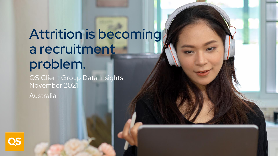## Attrition is becoming a recruitment problem.

QS Client Group Data Insights November 2021

Australia

QS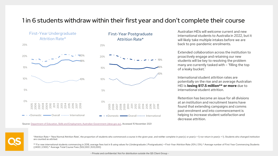### 1 in 6 students withdraw within their first year and don't complete their course

First-Year Postgraduate Attrition Rate\*

First-Year Undergraduate Attrition Rate\*

25%



25%

Source: [Department of Education, Skills and Employment, Australian Government \(dese.gov.au\)](https://www.dese.gov.au/higher-education-statistics/student-data/selected-higher-education-statistics-2019-student-data), Accessed 15 November 2021

Australian HEIs will welcome current and new international students to Australia in 2022, but it will likely take multiple intakes before we are back to pre-pandemic enrolments.

Extended collaboration across the institution to proactively engage and retaining our new students will be key to resolving the problem many are currently tasked with – 'filling the top of a leaky bucket.'

International student attrition rates are potentially on the rise and an average Australian HEI is **losing \$17.5 million\*\* or more** due to international student attrition.

Retention has become an issue for all divisions at an institution and recruitment teams have found that extending campaigns and comms past enrolment and into commencement is helping to increase student satisfaction and decrease attrition.

\*Attrition Rate = 'New Normal Attrition Rate', the proportion of students who commenced a course in the given year, and neither complete in year(x) or year(x + 1) nor return in year(x + 1). Students who changed institution are counted as attrited.

\*\* For new international students commencing in 2018, average fees lost in \$ using values for (Undergraduate | Postgraduate) = First-Year Attrition Rate (10% | 13%) \* Average number of First Year Commencing Students (2400 | 2300) \* Average Total Course Fees (\$32,000 | \$33,000)

- Private and confidential. Not for distribution outside the QS Client Group -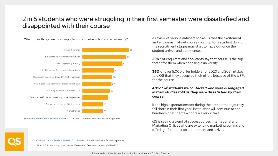## 2 in 5 students who were struggling in their first semester were dissatisfied and disappointed with their course

What three things are most important to you when choosing a university?



Source: [QS International Student Survey 2021 Volume 3](https://www.qs.com/portfolio-items/international-student-survey-2021-australia-and-new-zealand-student-experience-and-post-study-aspirations/): Australia and New Zealand (qs.com)

A review of various datasets shows us that the excitement and enthusiasm about courses built up for a student during the recruitment stages may start to fizzle out once the student arrives and commences.

**39%**\* of enquirers and applicants say that course is the top factor for them when choosing a university.

**36%** of over 5,000 offer holders for 2020 and 2021 intakes told QS that they accepted their offers because of the USPs for the course.

#### *40%\*\* of students we contacted who were disengaged in their studies told us they were dissatisfied by their course.*

If the high expectations set during their recruitment journey fall short in their first year, institutions will continue to see hundreds of students withdraw every intake.

QS is seeing a trend of success across International and Marketing Offices who are extending marketing comms and offering 1-1 support post enrolment and arrival.



\* [QS International Student Survey 2021 Volume 3](https://www.qs.com/portfolio-items/international-student-survey-2021-australia-and-new-zealand-student-experience-and-post-study-aspirations/): Australia and New Zealand (qs.com)

\*\*From a QS case study of just under 250 current, first year students (2020-2021)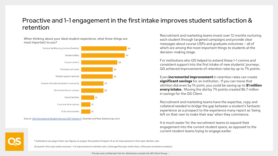## Proactive and 1-1 engagement in the first intake improves student satisfaction & retention

When thinking about your ideal student experience, what three things are most important to you?



Source: [QS International Student Survey 2021 Volume 3](https://www.qs.com/portfolio-items/international-student-survey-2021-australia-and-new-zealand-student-experience-and-post-study-aspirations/): Australia and New Zealand (qs.com)

Recruitment and marketing teams invest over 12 months nurturing each student through targeted campaigns and provide clear messages about course USPs and graduate outcomes – all of which are among the most important things to students at the decision-making stage.

For institutions who QS helped to extend these 1-1 comms and consistent support into the first intake of new students' journeys, QS achieved improvements of retention rates by up to 7% points.

Even **incremental improvement** in retention rates can create **significant savings** for an institution. If you can move that attrition dial even by 1% point, you could be saving up to **\$1 million every intake.** Moving the dial by 7% points created \$6.7 million in savings for the QS Client.

Recruitment and marketing teams have the expertise, copy and collateral needed to bridge the gap between a student's fantastic experience as a prospect to the experience many report as 'being left on their own to make their way' when they commence.

It is much easier for the recruitment teams to expand their engagement into the current student space, as opposed to the current student teams trying to engage earlier.

\* Institutions can plug in their own figures to project the positive \$ impact of an x% improvement in first-year attrition rate:

(*\$ saved in first-year tuition income) = x% improvement in attrition rate x (Average first year tuition fee) x (first year enrolment numbers)*